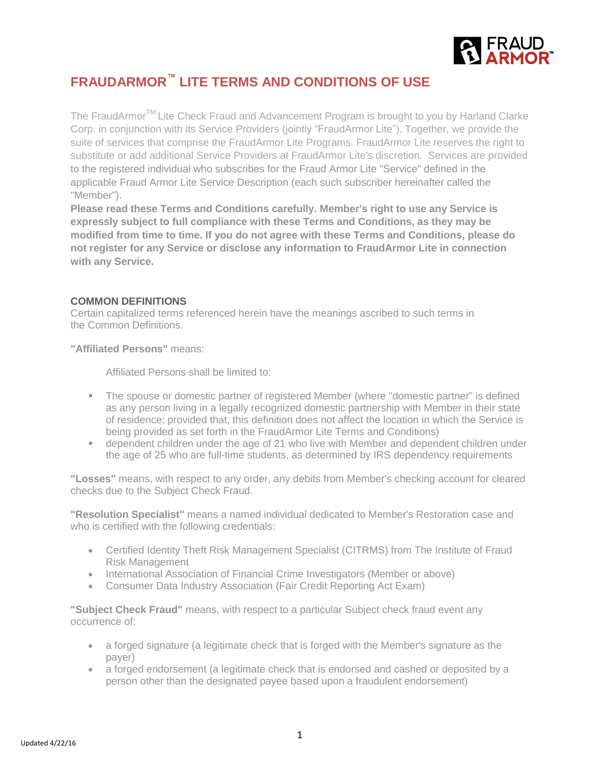

# **FRAUDARMOR™ LITE TERMS AND CONDITIONS OF USE**

The FraudArmor<sup>TM</sup> Lite Check Fraud and Advancement Program is brought to you by Harland Clarke Corp. in conjunction with its Service Providers (jointly "FraudArmor Lite"). Together, we provide the suite of services that comprise the FraudArmor Lite Programs. FraudArmor Lite reserves the right to substitute or add additional Service Providers at FraudArmor Lite's discretion. Services are provided to the registered individual who subscribes for the Fraud Armor Lite "Service" defined in the applicable Fraud Armor Lite Service Description (each such subscriber hereinafter called the "Member").

**Please read these Terms and Conditions carefully. Member's right to use any Service is expressly subject to full compliance with these Terms and Conditions, as they may be modified from time to time. If you do not agree with these Terms and Conditions, please do not register for any Service or disclose any information to FraudArmor Lite in connection with any Service.**

## **COMMON DEFINITIONS**

Certain capitalized terms referenced herein have the meanings ascribed to such terms in the Common Definitions.

**"Affiliated Persons"** means:

Affiliated Persons shall be limited to:

- **The spouse or domestic partner of registered Member (where "domestic partner" is defined** as any person living in a legally recognized domestic partnership with Member in their state of residence; provided that, this definition does not affect the location in which the Service is being provided as set forth in the FraudArmor Lite Terms and Conditions)
- dependent children under the age of 21 who live with Member and dependent children under the age of 25 who are full-time students, as determined by IRS dependency requirements

**"Losses"** means, with respect to any order, any debits from Member's checking account for cleared checks due to the Subject Check Fraud.

**"Resolution Specialist"** means a named individual dedicated to Member's Restoration case and who is certified with the following credentials:

- Certified Identity Theft Risk Management Specialist (CITRMS) from The Institute of Fraud Risk Management
- International Association of Financial Crime Investigators (Member or above)
- Consumer Data Industry Association (Fair Credit Reporting Act Exam)

**"Subject Check Fraud"** means, with respect to a particular Subject check fraud event any occurrence of:

- a forged signature (a legitimate check that is forged with the Member's signature as the payer)
- a forged endorsement (a legitimate check that is endorsed and cashed or deposited by a person other than the designated payee based upon a fraudulent endorsement)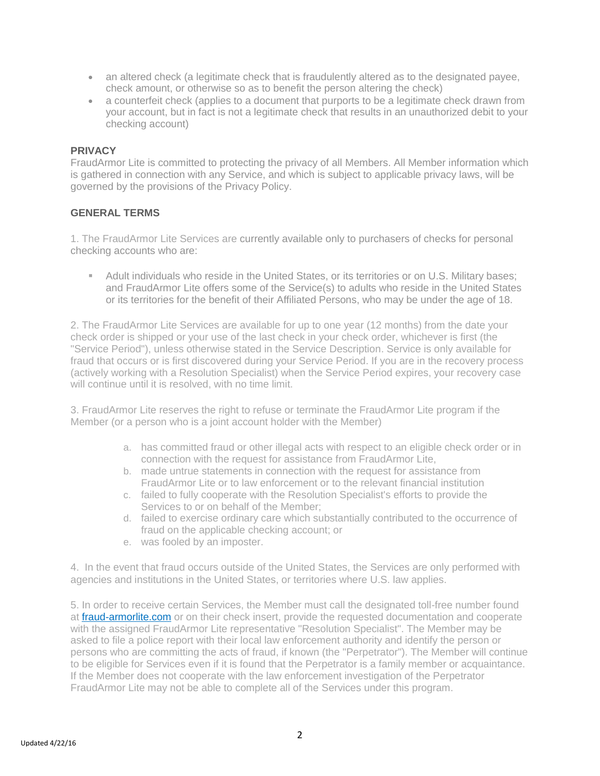- an altered check (a legitimate check that is fraudulently altered as to the designated payee, check amount, or otherwise so as to benefit the person altering the check)
- a counterfeit check (applies to a document that purports to be a legitimate check drawn from your account, but in fact is not a legitimate check that results in an unauthorized debit to your checking account)

## **PRIVACY**

FraudArmor Lite is committed to protecting the privacy of all Members. All Member information which is gathered in connection with any Service, and which is subject to applicable privacy laws, will be governed by the provisions of the Privacy Policy.

# **GENERAL TERMS**

1. The FraudArmor Lite Services are currently available only to purchasers of checks for personal checking accounts who are:

 Adult individuals who reside in the United States, or its territories or on U.S. Military bases; and FraudArmor Lite offers some of the Service(s) to adults who reside in the United States or its territories for the benefit of their Affiliated Persons, who may be under the age of 18.

2. The FraudArmor Lite Services are available for up to one year (12 months) from the date your check order is shipped or your use of the last check in your check order, whichever is first (the "Service Period"), unless otherwise stated in the Service Description. Service is only available for fraud that occurs or is first discovered during your Service Period. If you are in the recovery process (actively working with a Resolution Specialist) when the Service Period expires, your recovery case will continue until it is resolved, with no time limit.

3. FraudArmor Lite reserves the right to refuse or terminate the FraudArmor Lite program if the Member (or a person who is a joint account holder with the Member)

- a. has committed fraud or other illegal acts with respect to an eligible check order or in connection with the request for assistance from FraudArmor Lite,
- b. made untrue statements in connection with the request for assistance from FraudArmor Lite or to law enforcement or to the relevant financial institution
- c. failed to fully cooperate with the Resolution Specialist's efforts to provide the Services to or on behalf of the Member;
- d. failed to exercise ordinary care which substantially contributed to the occurrence of fraud on the applicable checking account; or
- e. was fooled by an imposter.

4. In the event that fraud occurs outside of the United States, the Services are only performed with agencies and institutions in the United States, or territories where U.S. law applies.

5. In order to receive certain Services, the Member must call the designated toll-free number found at fraud-armorlite.com or on their check insert, provide the requested documentation and cooperate with the assigned FraudArmor Lite representative "Resolution Specialist". The Member may be asked to file a police report with their local law enforcement authority and identify the person or persons who are committing the acts of fraud, if known (the "Perpetrator"). The Member will continue to be eligible for Services even if it is found that the Perpetrator is a family member or acquaintance. If the Member does not cooperate with the law enforcement investigation of the Perpetrator FraudArmor Lite may not be able to complete all of the Services under this program.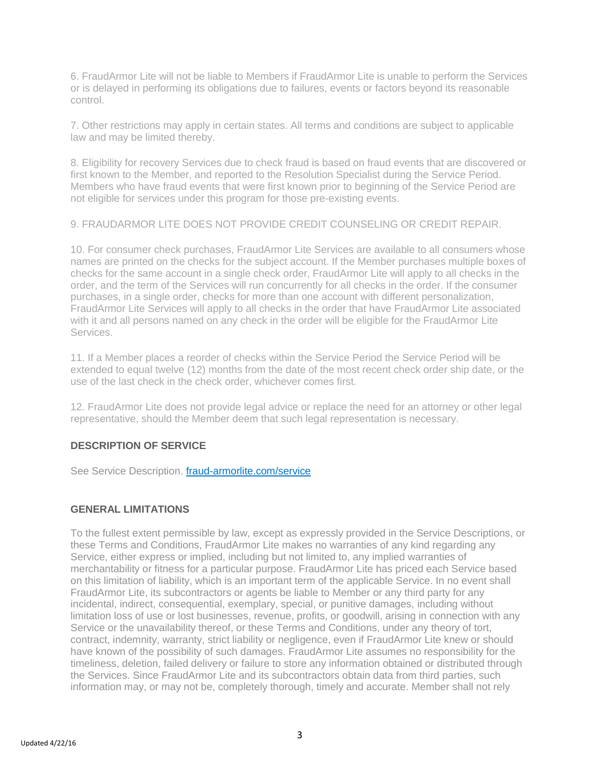6. FraudArmor Lite will not be liable to Members if FraudArmor Lite is unable to perform the Services or is delayed in performing its obligations due to failures, events or factors beyond its reasonable control.

7. Other restrictions may apply in certain states. All terms and conditions are subject to applicable law and may be limited thereby.

8. Eligibility for recovery Services due to check fraud is based on fraud events that are discovered or first known to the Member, and reported to the Resolution Specialist during the Service Period. Members who have fraud events that were first known prior to beginning of the Service Period are not eligible for services under this program for those pre-existing events.

9. FRAUDARMOR LITE DOES NOT PROVIDE CREDIT COUNSELING OR CREDIT REPAIR.

10. For consumer check purchases, FraudArmor Lite Services are available to all consumers whose names are printed on the checks for the subject account. If the Member purchases multiple boxes of checks for the same account in a single check order, FraudArmor Lite will apply to all checks in the order, and the term of the Services will run concurrently for all checks in the order. If the consumer purchases, in a single order, checks for more than one account with different personalization, FraudArmor Lite Services will apply to all checks in the order that have FraudArmor Lite associated with it and all persons named on any check in the order will be eligible for the FraudArmor Lite Services.

11. If a Member places a reorder of checks within the Service Period the Service Period will be extended to equal twelve (12) months from the date of the most recent check order ship date, or the use of the last check in the check order, whichever comes first.

12. FraudArmor Lite does not provide legal advice or replace the need for an attorney or other legal representative, should the Member deem that such legal representation is necessary.

# **DESCRIPTION OF SERVICE**

See Service Description. fraud-armorlite.com/service

#### **GENERAL LIMITATIONS**

To the fullest extent permissible by law, except as expressly provided in the Service Descriptions, or these Terms and Conditions, FraudArmor Lite makes no warranties of any kind regarding any Service, either express or implied, including but not limited to, any implied warranties of merchantability or fitness for a particular purpose. FraudArmor Lite has priced each Service based on this limitation of liability, which is an important term of the applicable Service. In no event shall FraudArmor Lite, its subcontractors or agents be liable to Member or any third party for any incidental, indirect, consequential, exemplary, special, or punitive damages, including without limitation loss of use or lost businesses, revenue, profits, or goodwill, arising in connection with any Service or the unavailability thereof, or these Terms and Conditions, under any theory of tort, contract, indemnity, warranty, strict liability or negligence, even if FraudArmor Lite knew or should have known of the possibility of such damages. FraudArmor Lite assumes no responsibility for the timeliness, deletion, failed delivery or failure to store any information obtained or distributed through the Services. Since FraudArmor Lite and its subcontractors obtain data from third parties, such information may, or may not be, completely thorough, timely and accurate. Member shall not rely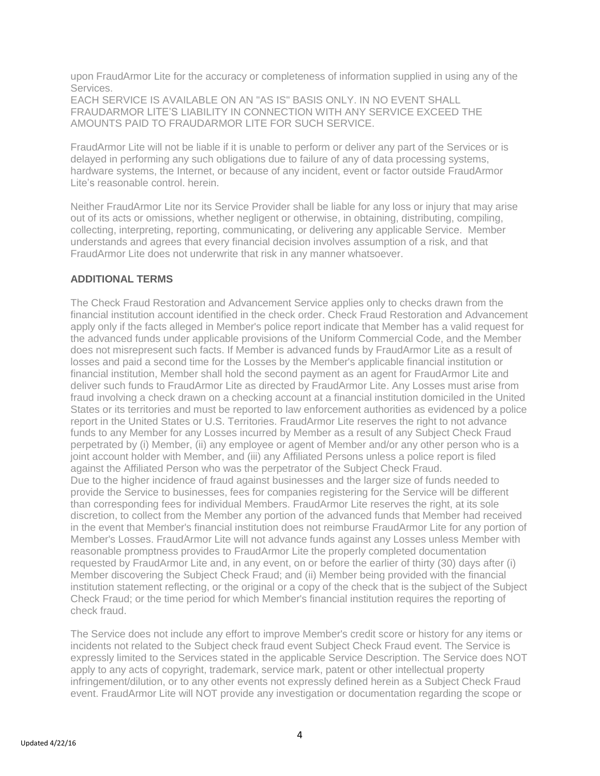upon FraudArmor Lite for the accuracy or completeness of information supplied in using any of the Services.

EACH SERVICE IS AVAILABLE ON AN "AS IS" BASIS ONLY. IN NO EVENT SHALL FRAUDARMOR LITE'S LIABILITY IN CONNECTION WITH ANY SERVICE EXCEED THE AMOUNTS PAID TO FRAUDARMOR LITE FOR SUCH SERVICE.

FraudArmor Lite will not be liable if it is unable to perform or deliver any part of the Services or is delayed in performing any such obligations due to failure of any of data processing systems, hardware systems, the Internet, or because of any incident, event or factor outside FraudArmor Lite's reasonable control. herein.

Neither FraudArmor Lite nor its Service Provider shall be liable for any loss or injury that may arise out of its acts or omissions, whether negligent or otherwise, in obtaining, distributing, compiling, collecting, interpreting, reporting, communicating, or delivering any applicable Service. Member understands and agrees that every financial decision involves assumption of a risk, and that FraudArmor Lite does not underwrite that risk in any manner whatsoever.

# **ADDITIONAL TERMS**

The Check Fraud Restoration and Advancement Service applies only to checks drawn from the financial institution account identified in the check order. Check Fraud Restoration and Advancement apply only if the facts alleged in Member's police report indicate that Member has a valid request for the advanced funds under applicable provisions of the Uniform Commercial Code, and the Member does not misrepresent such facts. If Member is advanced funds by FraudArmor Lite as a result of losses and paid a second time for the Losses by the Member's applicable financial institution or financial institution, Member shall hold the second payment as an agent for FraudArmor Lite and deliver such funds to FraudArmor Lite as directed by FraudArmor Lite. Any Losses must arise from fraud involving a check drawn on a checking account at a financial institution domiciled in the United States or its territories and must be reported to law enforcement authorities as evidenced by a police report in the United States or U.S. Territories. FraudArmor Lite reserves the right to not advance funds to any Member for any Losses incurred by Member as a result of any Subject Check Fraud perpetrated by (i) Member, (ii) any employee or agent of Member and/or any other person who is a joint account holder with Member, and (iii) any Affiliated Persons unless a police report is filed against the Affiliated Person who was the perpetrator of the Subject Check Fraud. Due to the higher incidence of fraud against businesses and the larger size of funds needed to provide the Service to businesses, fees for companies registering for the Service will be different than corresponding fees for individual Members. FraudArmor Lite reserves the right, at its sole discretion, to collect from the Member any portion of the advanced funds that Member had received in the event that Member's financial institution does not reimburse FraudArmor Lite for any portion of Member's Losses. FraudArmor Lite will not advance funds against any Losses unless Member with reasonable promptness provides to FraudArmor Lite the properly completed documentation requested by FraudArmor Lite and, in any event, on or before the earlier of thirty (30) days after (i) Member discovering the Subject Check Fraud; and (ii) Member being provided with the financial institution statement reflecting, or the original or a copy of the check that is the subject of the Subject Check Fraud; or the time period for which Member's financial institution requires the reporting of check fraud.

The Service does not include any effort to improve Member's credit score or history for any items or incidents not related to the Subject check fraud event Subject Check Fraud event. The Service is expressly limited to the Services stated in the applicable Service Description. The Service does NOT apply to any acts of copyright, trademark, service mark, patent or other intellectual property infringement/dilution, or to any other events not expressly defined herein as a Subject Check Fraud event. FraudArmor Lite will NOT provide any investigation or documentation regarding the scope or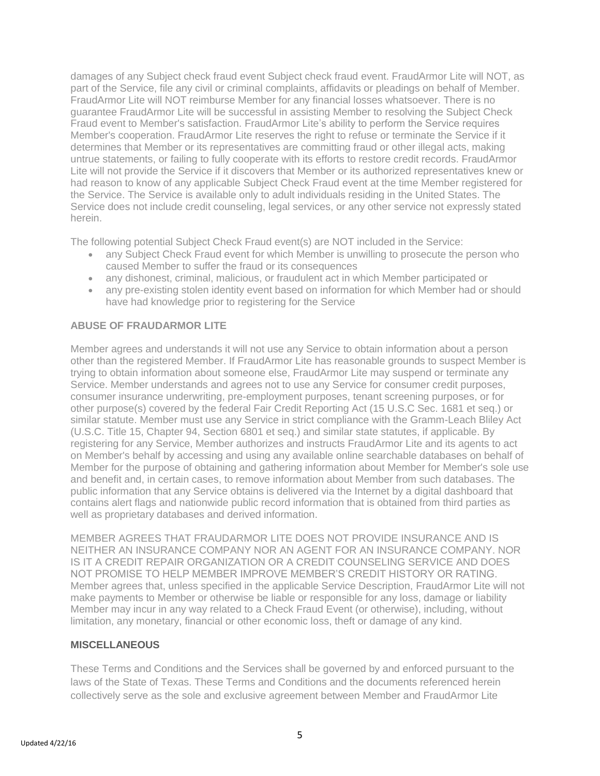damages of any Subject check fraud event Subject check fraud event. FraudArmor Lite will NOT, as part of the Service, file any civil or criminal complaints, affidavits or pleadings on behalf of Member. FraudArmor Lite will NOT reimburse Member for any financial losses whatsoever. There is no guarantee FraudArmor Lite will be successful in assisting Member to resolving the Subject Check Fraud event to Member's satisfaction. FraudArmor Lite's ability to perform the Service requires Member's cooperation. FraudArmor Lite reserves the right to refuse or terminate the Service if it determines that Member or its representatives are committing fraud or other illegal acts, making untrue statements, or failing to fully cooperate with its efforts to restore credit records. FraudArmor Lite will not provide the Service if it discovers that Member or its authorized representatives knew or had reason to know of any applicable Subject Check Fraud event at the time Member registered for the Service. The Service is available only to adult individuals residing in the United States. The Service does not include credit counseling, legal services, or any other service not expressly stated herein.

The following potential Subject Check Fraud event(s) are NOT included in the Service:

- any Subject Check Fraud event for which Member is unwilling to prosecute the person who caused Member to suffer the fraud or its consequences
- any dishonest, criminal, malicious, or fraudulent act in which Member participated or
- any pre-existing stolen identity event based on information for which Member had or should have had knowledge prior to registering for the Service

## **ABUSE OF FRAUDARMOR LITE**

Member agrees and understands it will not use any Service to obtain information about a person other than the registered Member. If FraudArmor Lite has reasonable grounds to suspect Member is trying to obtain information about someone else, FraudArmor Lite may suspend or terminate any Service. Member understands and agrees not to use any Service for consumer credit purposes, consumer insurance underwriting, pre-employment purposes, tenant screening purposes, or for other purpose(s) covered by the federal Fair Credit Reporting Act (15 U.S.C Sec. 1681 et seq.) or similar statute. Member must use any Service in strict compliance with the Gramm-Leach Bliley Act (U.S.C. Title 15, Chapter 94, Section 6801 et seq.) and similar state statutes, if applicable. By registering for any Service, Member authorizes and instructs FraudArmor Lite and its agents to act on Member's behalf by accessing and using any available online searchable databases on behalf of Member for the purpose of obtaining and gathering information about Member for Member's sole use and benefit and, in certain cases, to remove information about Member from such databases. The public information that any Service obtains is delivered via the Internet by a digital dashboard that contains alert flags and nationwide public record information that is obtained from third parties as well as proprietary databases and derived information.

MEMBER AGREES THAT FRAUDARMOR LITE DOES NOT PROVIDE INSURANCE AND IS NEITHER AN INSURANCE COMPANY NOR AN AGENT FOR AN INSURANCE COMPANY. NOR IS IT A CREDIT REPAIR ORGANIZATION OR A CREDIT COUNSELING SERVICE AND DOES NOT PROMISE TO HELP MEMBER IMPROVE MEMBER'S CREDIT HISTORY OR RATING. Member agrees that, unless specified in the applicable Service Description, FraudArmor Lite will not make payments to Member or otherwise be liable or responsible for any loss, damage or liability Member may incur in any way related to a Check Fraud Event (or otherwise), including, without limitation, any monetary, financial or other economic loss, theft or damage of any kind.

#### **MISCELLANEOUS**

These Terms and Conditions and the Services shall be governed by and enforced pursuant to the laws of the State of Texas. These Terms and Conditions and the documents referenced herein collectively serve as the sole and exclusive agreement between Member and FraudArmor Lite